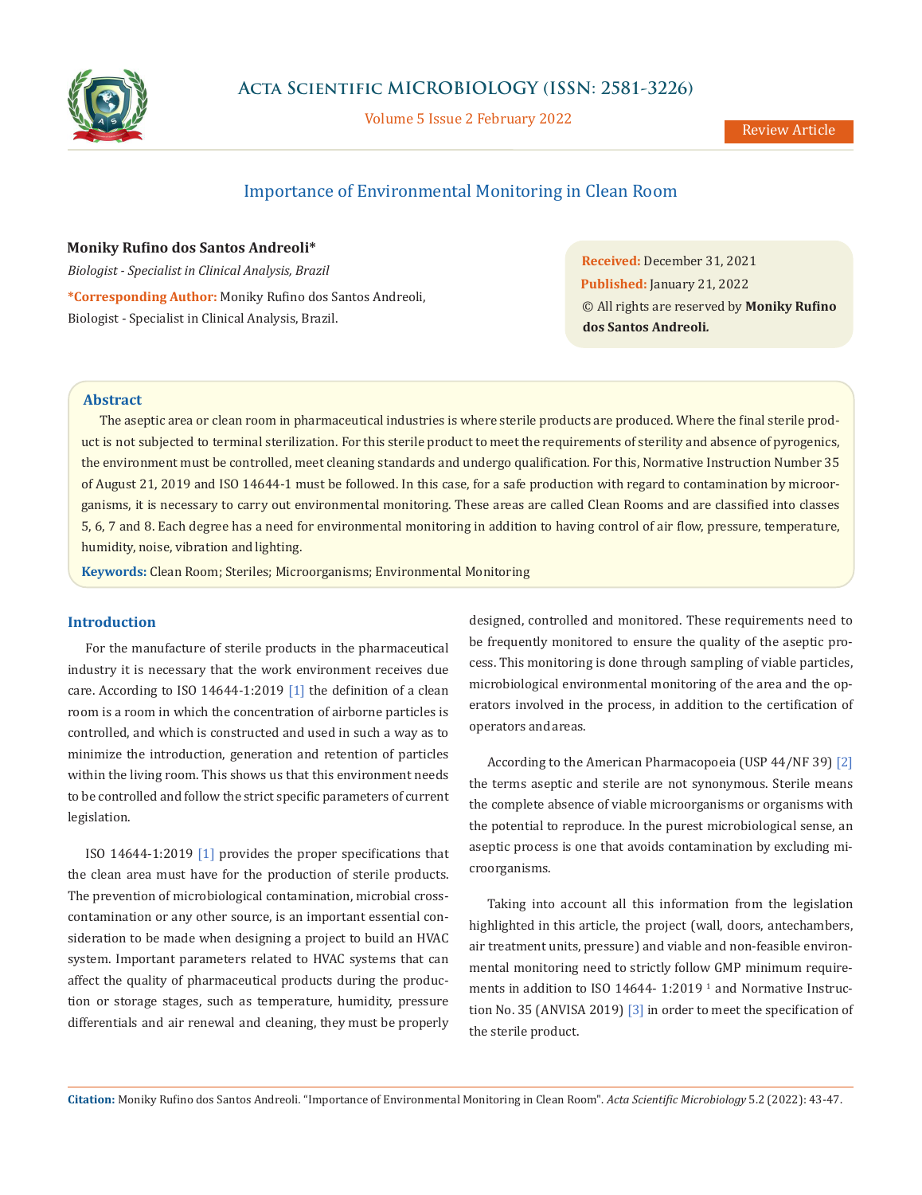

# **Acta Scientific MICROBIOLOGY (ISSN: 2581-3226)**

Volume 5 Issue 2 February 2022

Review Article

# Importance of Environmental Monitoring in Clean Room

# **Moniky Rufino dos Santos Andreoli\***

*Biologist - Specialist in Clinical Analysis, Brazil* **\*Corresponding Author:** Moniky Rufino dos Santos Andreoli, Biologist - Specialist in Clinical Analysis, Brazil.

**Received:** December 31, 2021 **Published:** January 21, 2022 © All rights are reserved by **Moniky Rufino dos Santos Andreoli***.*

## **Abstract**

The aseptic area or clean room in pharmaceutical industries is where sterile products are produced. Where the final sterile product is not subjected to terminal sterilization. For this sterile product to meet the requirements of sterility and absence of pyrogenics, the environment must be controlled, meet cleaning standards and undergo qualification. For this, Normative Instruction Number 35 of August 21, 2019 and ISO 14644-1 must be followed. In this case, for a safe production with regard to contamination by microorganisms, it is necessary to carry out environmental monitoring. These areas are called Clean Rooms and are classified into classes 5, 6, 7 and 8. Each degree has a need for environmental monitoring in addition to having control of air flow, pressure, temperature, humidity, noise, vibration and lighting.

**Keywords:** Clean Room; Steriles; Microorganisms; Environmental Monitoring

## **Introduction**

For the manufacture of sterile products in the pharmaceutical industry it is necessary that the work environment receives due care. According to ISO 14644-1:2019 [1] the definition of a clean room is a room in which the concentration of airborne particles is controlled, and which is constructed and used in such a way as to minimize the introduction, generation and retention of particles within the living room. This shows us that this environment needs to be controlled and follow the strict specific parameters of current legislation.

ISO 14644-1:2019 [1] provides the proper specifications that the clean area must have for the production of sterile products. The prevention of microbiological contamination, microbial crosscontamination or any other source, is an important essential consideration to be made when designing a project to build an HVAC system. Important parameters related to HVAC systems that can affect the quality of pharmaceutical products during the production or storage stages, such as temperature, humidity, pressure differentials and air renewal and cleaning, they must be properly designed, controlled and monitored. These requirements need to be frequently monitored to ensure the quality of the aseptic process. This monitoring is done through sampling of viable particles, microbiological environmental monitoring of the area and the operators involved in the process, in addition to the certification of operators and areas.

According to the American Pharmacopoeia (USP 44/NF 39) [2] the terms aseptic and sterile are not synonymous. Sterile means the complete absence of viable microorganisms or organisms with the potential to reproduce. In the purest microbiological sense, an aseptic process is one that avoids contamination by excluding microorganisms.

Taking into account all this information from the legislation highlighted in this article, the project (wall, doors, antechambers, air treatment units, pressure) and viable and non-feasible environmental monitoring need to strictly follow GMP minimum requirements in addition to ISO  $14644$ - 1:2019<sup> $1$ </sup> and Normative Instruction No. 35 (ANVISA 2019) [3] in order to meet the specification of the sterile product.

**Citation:** Moniky Rufino dos Santos Andreoli*.* "Importance of Environmental Monitoring in Clean Room". *Acta Scientific Microbiology* 5.2 (2022): 43-47.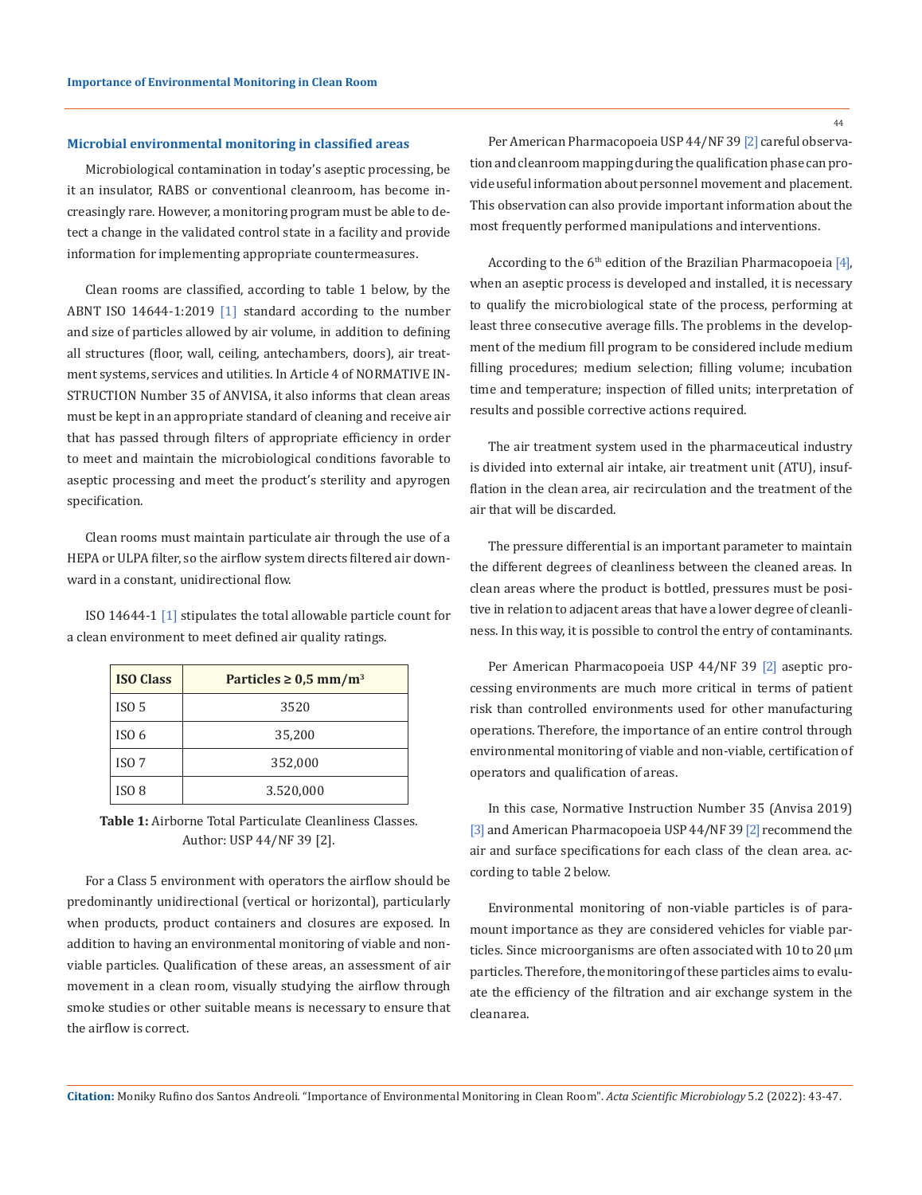#### **Microbial environmental monitoring in classified areas**

Microbiological contamination in today's aseptic processing, be it an insulator, RABS or conventional cleanroom, has become increasingly rare. However, a monitoring program must be able to detect a change in the validated control state in a facility and provide information for implementing appropriate countermeasures.

Clean rooms are classified, according to table 1 below, by the ABNT ISO 14644-1:2019 [1] standard according to the number and size of particles allowed by air volume, in addition to defining all structures (floor, wall, ceiling, antechambers, doors), air treatment systems, services and utilities. In Article 4 of NORMATIVE IN-STRUCTION Number 35 of ANVISA, it also informs that clean areas must be kept in an appropriate standard of cleaning and receive air that has passed through filters of appropriate efficiency in order to meet and maintain the microbiological conditions favorable to aseptic processing and meet the product's sterility and apyrogen specification.

Clean rooms must maintain particulate air through the use of a HEPA or ULPA filter, so the airflow system directs filtered air downward in a constant, unidirectional flow.

ISO 14644-1 [1] stipulates the total allowable particle count for a clean environment to meet defined air quality ratings.

| <b>ISO Class</b> | Particles $\geq 0.5$ mm/m <sup>3</sup> |
|------------------|----------------------------------------|
| ISO <sub>5</sub> | 3520                                   |
| ISO <sub>6</sub> | 35,200                                 |
| ISO <sub>7</sub> | 352,000                                |
| ISO <sub>8</sub> | 3.520,000                              |



For a Class 5 environment with operators the airflow should be predominantly unidirectional (vertical or horizontal), particularly when products, product containers and closures are exposed. In addition to having an environmental monitoring of viable and nonviable particles. Qualification of these areas, an assessment of air movement in a clean room, visually studying the airflow through smoke studies or other suitable means is necessary to ensure that the airflow is correct.

Per American Pharmacopoeia USP 44/NF 39 [2] careful observation and cleanroom mapping during the qualification phase can provide useful information about personnel movement and placement. This observation can also provide important information about the most frequently performed manipulations and interventions.

According to the  $6<sup>th</sup>$  edition of the Brazilian Pharmacopoeia [4], when an aseptic process is developed and installed, it is necessary to qualify the microbiological state of the process, performing at least three consecutive average fills. The problems in the development of the medium fill program to be considered include medium filling procedures; medium selection; filling volume; incubation time and temperature; inspection of filled units; interpretation of results and possible corrective actions required.

The air treatment system used in the pharmaceutical industry is divided into external air intake, air treatment unit (ATU), insufflation in the clean area, air recirculation and the treatment of the air that will be discarded.

The pressure differential is an important parameter to maintain the different degrees of cleanliness between the cleaned areas. In clean areas where the product is bottled, pressures must be positive in relation to adjacent areas that have a lower degree of cleanliness. In this way, it is possible to control the entry of contaminants.

Per American Pharmacopoeia USP 44/NF 39 [2] aseptic processing environments are much more critical in terms of patient risk than controlled environments used for other manufacturing operations. Therefore, the importance of an entire control through environmental monitoring of viable and non-viable, certification of operators and qualification of areas.

In this case, Normative Instruction Number 35 (Anvisa 2019) [3] and American Pharmacopoeia USP 44/NF 39 [2] recommend the air and surface specifications for each class of the clean area. according to table 2 below.

Environmental monitoring of non-viable particles is of paramount importance as they are considered vehicles for viable particles. Since microorganisms are often associated with 10 to 20 µm particles. Therefore, the monitoring of these particles aims to evaluate the efficiency of the filtration and air exchange system in the clean area.

**Citation:** Moniky Rufino dos Santos Andreoli*.* "Importance of Environmental Monitoring in Clean Room". *Acta Scientific Microbiology* 5.2 (2022): 43-47.

44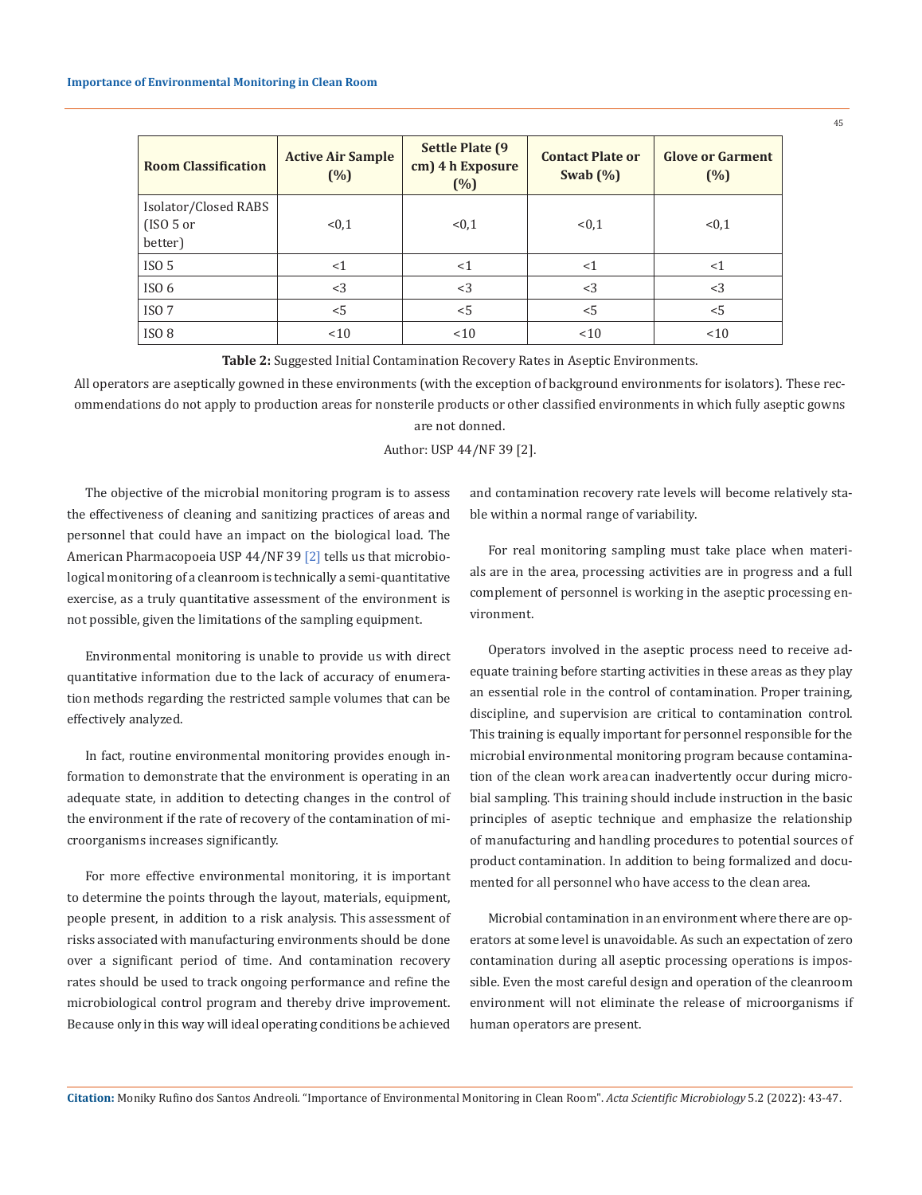| <b>Room Classification</b>                        | <b>Active Air Sample</b><br>(%) | <b>Settle Plate (9)</b><br>cm) 4 h Exposure<br>(%) | <b>Contact Plate or</b><br>Swab $(\%)$ | <b>Glove or Garment</b><br>(%) |
|---------------------------------------------------|---------------------------------|----------------------------------------------------|----------------------------------------|--------------------------------|
| Isolator/Closed RABS<br>$(ISO\ 5\ or\$<br>better) | < 0, 1                          | < 0, 1                                             | < 0.1                                  | < 0, 1                         |
| ISO <sub>5</sub>                                  | <1                              | <1                                                 | <1                                     | $<$ 1                          |
| ISO <sub>6</sub>                                  | $<$ 3                           | $<$ 3                                              | <3                                     | $<$ 3                          |
| ISO <sub>7</sub>                                  | < 5                             | < 5                                                | < 5                                    | < 5                            |
| ISO <sub>8</sub>                                  | < 10                            | < 10                                               | < 10                                   | < 10                           |

**Table 2:** Suggested Initial Contamination Recovery Rates in Aseptic Environments.

All operators are aseptically gowned in these environments (with the exception of background environments for isolators). These recommendations do not apply to production areas for nonsterile products or other classified environments in which fully aseptic gowns are not donned.

Author: USP 44/NF 39 [2].

The objective of the microbial monitoring program is to assess the effectiveness of cleaning and sanitizing practices of areas and personnel that could have an impact on the biological load. The American Pharmacopoeia USP 44/NF 39<sup>[2]</sup> tells us that microbiological monitoring of a cleanroom is technically a semi-quantitative exercise, as a truly quantitative assessment of the environment is not possible, given the limitations of the sampling equipment.

Environmental monitoring is unable to provide us with direct quantitative information due to the lack of accuracy of enumeration methods regarding the restricted sample volumes that can be effectively analyzed.

In fact, routine environmental monitoring provides enough information to demonstrate that the environment is operating in an adequate state, in addition to detecting changes in the control of the environment if the rate of recovery of the contamination of microorganisms increases significantly.

For more effective environmental monitoring, it is important to determine the points through the layout, materials, equipment, people present, in addition to a risk analysis. This assessment of risks associated with manufacturing environments should be done over a significant period of time. And contamination recovery rates should be used to track ongoing performance and refine the microbiological control program and thereby drive improvement. Because only in this way will ideal operating conditions be achieved

and contamination recovery rate levels will become relatively stable within a normal range of variability.

For real monitoring sampling must take place when materials are in the area, processing activities are in progress and a full complement of personnel is working in the aseptic processing environment.

Operators involved in the aseptic process need to receive adequate training before starting activities in these areas as they play an essential role in the control of contamination. Proper training, discipline, and supervision are critical to contamination control. This training is equally important for personnel responsible for the microbial environmental monitoring program because contamination of the clean work area can inadvertently occur during microbial sampling. This training should include instruction in the basic principles of aseptic technique and emphasize the relationship of manufacturing and handling procedures to potential sources of product contamination. In addition to being formalized and documented for all personnel who have access to the clean area.

Microbial contamination in an environment where there are operators at some level is unavoidable. As such an expectation of zero contamination during all aseptic processing operations is impossible. Even the most careful design and operation of the cleanroom environment will not eliminate the release of microorganisms if human operators are present.

**Citation:** Moniky Rufino dos Santos Andreoli*.* "Importance of Environmental Monitoring in Clean Room". *Acta Scientific Microbiology* 5.2 (2022): 43-47.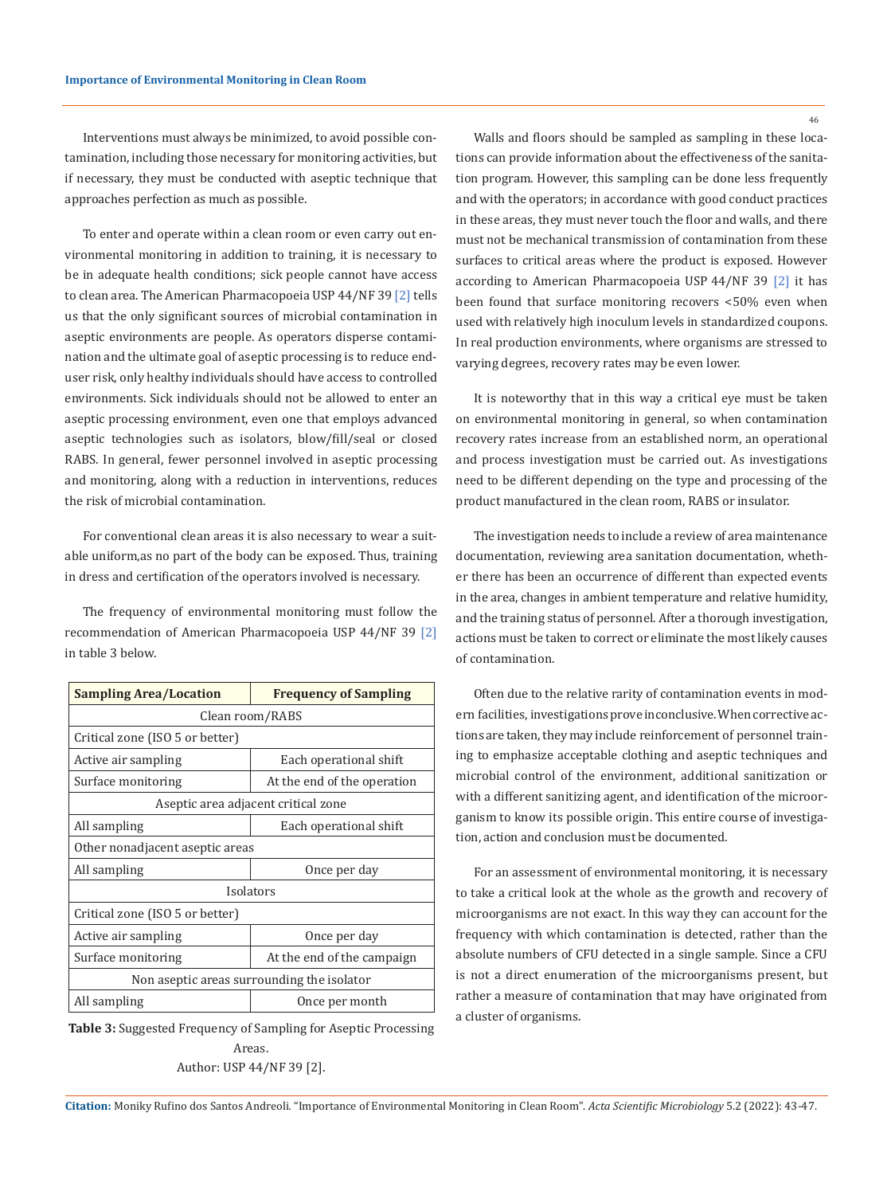Interventions must always be minimized, to avoid possible contamination, including those necessary for monitoring activities, but if necessary, they must be conducted with aseptic technique that approaches perfection as much as possible.

To enter and operate within a clean room or even carry out environmental monitoring in addition to training, it is necessary to be in adequate health conditions; sick people cannot have access to clean area. The American Pharmacopoeia USP 44/NF 39<sup>[2]</sup> tells us that the only significant sources of microbial contamination in aseptic environments are people. As operators disperse contamination and the ultimate goal of aseptic processing is to reduce enduser risk, only healthy individuals should have access to controlled environments. Sick individuals should not be allowed to enter an aseptic processing environment, even one that employs advanced aseptic technologies such as isolators, blow/fill/seal or closed RABS. In general, fewer personnel involved in aseptic processing and monitoring, along with a reduction in interventions, reduces the risk of microbial contamination.

For conventional clean areas it is also necessary to wear a suitable uniform, as no part of the body can be exposed. Thus, training in dress and certification of the operators involved is necessary.

The frequency of environmental monitoring must follow the recommendation of American Pharmacopoeia USP 44/NF 39 [2] in table 3 below.

| <b>Sampling Area/Location</b>              | <b>Frequency of Sampling</b> |  |  |  |
|--------------------------------------------|------------------------------|--|--|--|
| Clean room/RABS                            |                              |  |  |  |
| Critical zone (ISO 5 or better)            |                              |  |  |  |
| Active air sampling                        | Each operational shift       |  |  |  |
| Surface monitoring                         | At the end of the operation  |  |  |  |
| Aseptic area adjacent critical zone        |                              |  |  |  |
| All sampling                               | Each operational shift       |  |  |  |
| Other nonadjacent aseptic areas            |                              |  |  |  |
| All sampling                               | Once per day                 |  |  |  |
| Isolators                                  |                              |  |  |  |
| Critical zone (ISO 5 or better)            |                              |  |  |  |
| Active air sampling                        | Once per day                 |  |  |  |
| Surface monitoring                         | At the end of the campaign   |  |  |  |
| Non aseptic areas surrounding the isolator |                              |  |  |  |
| All sampling                               | Once per month               |  |  |  |

**Table 3:** Suggested Frequency of Sampling for Aseptic Processing Areas. Author: USP 44/NF 39 [2].

Walls and floors should be sampled as sampling in these locations can provide information about the effectiveness of the sanitation program. However, this sampling can be done less frequently and with the operators; in accordance with good conduct practices in these areas, they must never touch the floor and walls, and there must not be mechanical transmission of contamination from these surfaces to critical areas where the product is exposed. However according to American Pharmacopoeia USP 44/NF 39 [2] it has been found that surface monitoring recovers <50% even when used with relatively high inoculum levels in standardized coupons. In real production environments, where organisms are stressed to varying degrees, recovery rates may be even lower.

It is noteworthy that in this way a critical eye must be taken on environmental monitoring in general, so when contamination recovery rates increase from an established norm, an operational and process investigation must be carried out. As investigations need to be different depending on the type and processing of the product manufactured in the clean room, RABS or insulator.

The investigation needs to include a review of area maintenance documentation, reviewing area sanitation documentation, whether there has been an occurrence of different than expected events in the area, changes in ambient temperature and relative humidity, and the training status of personnel. After a thorough investigation, actions must be taken to correct or eliminate the most likely causes of contamination.

Often due to the relative rarity of contamination events in modern facilities, investigations prove inconclusive. When corrective actions are taken, they may include reinforcement of personnel training to emphasize acceptable clothing and aseptic techniques and microbial control of the environment, additional sanitization or with a different sanitizing agent, and identification of the microorganism to know its possible origin. This entire course of investigation, action and conclusion must be documented.

For an assessment of environmental monitoring, it is necessary to take a critical look at the whole as the growth and recovery of microorganisms are not exact. In this way they can account for the frequency with which contamination is detected, rather than the absolute numbers of CFU detected in a single sample. Since a CFU is not a direct enumeration of the microorganisms present, but rather a measure of contamination that may have originated from a cluster of organisms.

**Citation:** Moniky Rufino dos Santos Andreoli*.* "Importance of Environmental Monitoring in Clean Room". *Acta Scientific Microbiology* 5.2 (2022): 43-47.

46